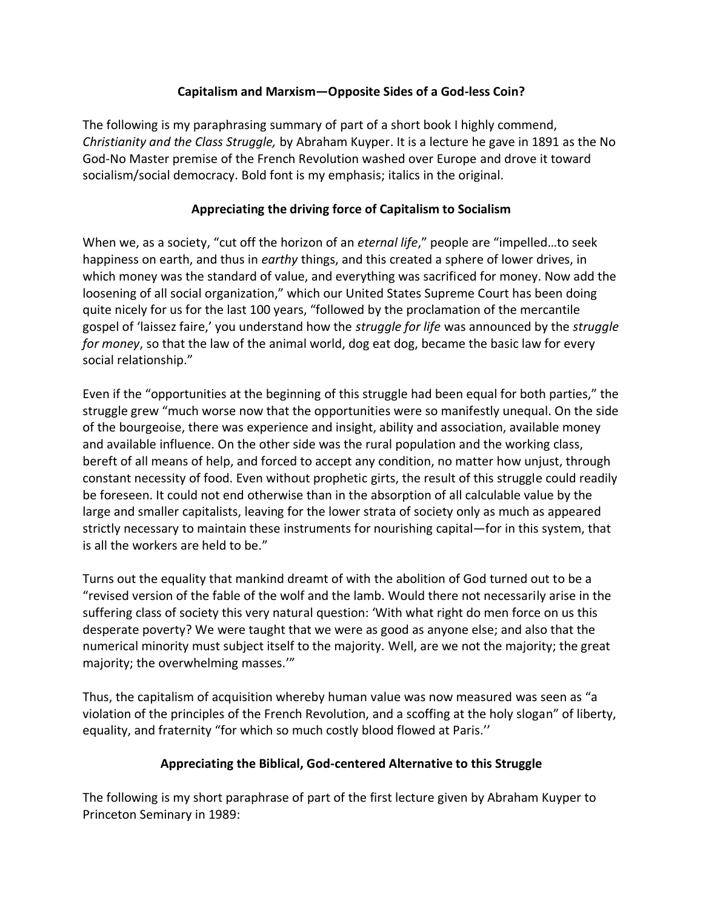## **Capitalism and Marxism—Opposite Sides of a God-less Coin?**

The following is my paraphrasing summary of part of a short book I highly commend, *Christianity and the Class Struggle,* by Abraham Kuyper. It is a lecture he gave in 1891 as the No God-No Master premise of the French Revolution washed over Europe and drove it toward socialism/social democracy. Bold font is my emphasis; italics in the original.

## **Appreciating the driving force of Capitalism to Socialism**

When we, as a society, "cut off the horizon of an *eternal life*," people are "impelled…to seek happiness on earth, and thus in *earthy* things, and this created a sphere of lower drives, in which money was the standard of value, and everything was sacrificed for money. Now add the loosening of all social organization," which our United States Supreme Court has been doing quite nicely for us for the last 100 years, "followed by the proclamation of the mercantile gospel of 'laissez faire,' you understand how the *struggle for life* was announced by the *struggle for money*, so that the law of the animal world, dog eat dog, became the basic law for every social relationship."

Even if the "opportunities at the beginning of this struggle had been equal for both parties," the struggle grew "much worse now that the opportunities were so manifestly unequal. On the side of the bourgeoise, there was experience and insight, ability and association, available money and available influence. On the other side was the rural population and the working class, bereft of all means of help, and forced to accept any condition, no matter how unjust, through constant necessity of food. Even without prophetic girts, the result of this struggle could readily be foreseen. It could not end otherwise than in the absorption of all calculable value by the large and smaller capitalists, leaving for the lower strata of society only as much as appeared strictly necessary to maintain these instruments for nourishing capital—for in this system, that is all the workers are held to be."

Turns out the equality that mankind dreamt of with the abolition of God turned out to be a "revised version of the fable of the wolf and the lamb. Would there not necessarily arise in the suffering class of society this very natural question: 'With what right do men force on us this desperate poverty? We were taught that we were as good as anyone else; and also that the numerical minority must subject itself to the majority. Well, are we not the majority; the great majority; the overwhelming masses.'"

Thus, the capitalism of acquisition whereby human value was now measured was seen as "a violation of the principles of the French Revolution, and a scoffing at the holy slogan" of liberty, equality, and fraternity "for which so much costly blood flowed at Paris.''

## **Appreciating the Biblical, God-centered Alternative to this Struggle**

The following is my short paraphrase of part of the first lecture given by Abraham Kuyper to Princeton Seminary in 1989: